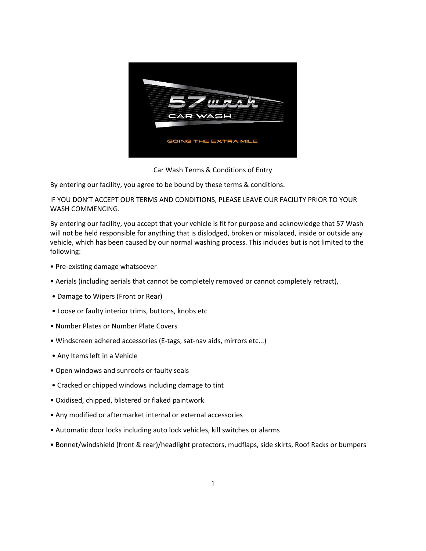

Car Wash Terms & Conditions of Entry

By entering our facility, you agree to be bound by these terms & conditions.

IF YOU DON'T ACCEPT OUR TERMS AND CONDITIONS, PLEASE LEAVE OUR FACILITY PRIOR TO YOUR WASH COMMENCING.

By entering our facility, you accept that your vehicle is fit for purpose and acknowledge that 57 Wash will not be held responsible for anything that is dislodged, broken or misplaced, inside or outside any vehicle, which has been caused by our normal washing process. This includes but is not limited to the following:

- Pre‐existing damage whatsoever
- Aerials (including aerials that cannot be completely removed or cannot completely retract),
- Damage to Wipers (Front or Rear)
- Loose or faulty interior trims, buttons, knobs etc
- Number Plates or Number Plate Covers
- Windscreen adhered accessories (E‐tags, sat‐nav aids, mirrors etc...)
- Any Items left in a Vehicle
- Open windows and sunroofs or faulty seals
- Cracked or chipped windows including damage to tint
- Oxidised, chipped, blistered or flaked paintwork
- Any modified or aftermarket internal or external accessories
- Automatic door locks including auto lock vehicles, kill switches or alarms
- Bonnet/windshield (front & rear)/headlight protectors, mudflaps, side skirts, Roof Racks or bumpers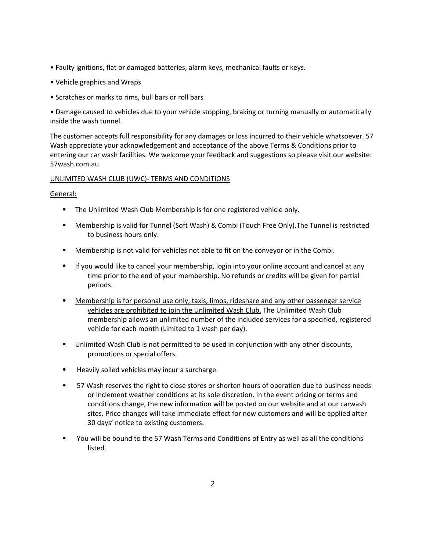- Faulty ignitions, flat or damaged batteries, alarm keys, mechanical faults or keys.
- Vehicle graphics and Wraps
- Scratches or marks to rims, bull bars or roll bars

• Damage caused to vehicles due to your vehicle stopping, braking or turning manually or automatically inside the wash tunnel.

The customer accepts full responsibility for any damages or loss incurred to their vehicle whatsoever. 57 Wash appreciate your acknowledgement and acceptance of the above Terms & Conditions prior to entering our car wash facilities. We welcome your feedback and suggestions so please visit our website: 57wash.com.au

# UNLIMITED WASH CLUB (UWC)‐ TERMS AND CONDITIONS

General:

- ⦁ The Unlimited Wash Club Membership is for one registered vehicle only.
- ⦁ Membership is valid for Tunnel (Soft Wash) & Combi (Touch Free Only).The Tunnel is restricted to business hours only.
- ⦁ Membership is not valid for vehicles not able to fit on the conveyor or in the Combi.
- ⦁ If you would like to cancel your membership, login into your online account and cancel at any time prior to the end of your membership. No refunds or credits will be given for partial periods.
- ⦁ Membership is for personal use only, taxis, limos, rideshare and any other passenger service vehicles are prohibited to join the Unlimited Wash Club. The Unlimited Wash Club membership allows an unlimited number of the included services for a specified, registered vehicle for each month (Limited to 1 wash per day).
- ⦁ Unlimited Wash Club is not permitted to be used in conjunction with any other discounts, promotions or special offers.
- Heavily soiled vehicles may incur a surcharge.
- ⦁ 57 Wash reserves the right to close stores or shorten hours of operation due to business needs or inclement weather conditions at its sole discretion. In the event pricing or terms and conditions change, the new information will be posted on our website and at our carwash sites. Price changes will take immediate effect for new customers and will be applied after 30 days' notice to existing customers.
- ⦁ You will be bound to the 57 Wash Terms and Conditions of Entry as well as all the conditions listed.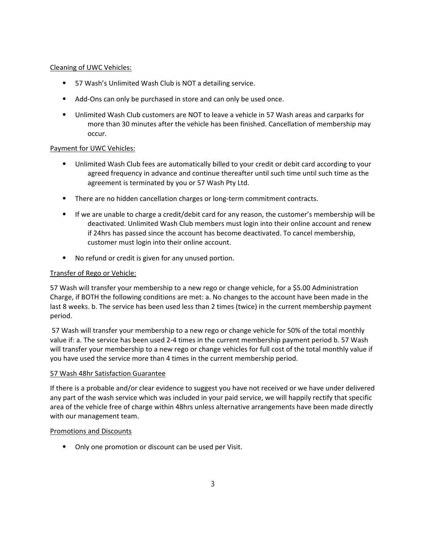# Cleaning of UWC Vehicles:

- ⦁ 57 Wash's Unlimited Wash Club is NOT a detailing service.
- Add-Ons can only be purchased in store and can only be used once.
- ⦁ Unlimited Wash Club customers are NOT to leave a vehicle in 57 Wash areas and carparks for more than 30 minutes after the vehicle has been finished. Cancellation of membership may occur.

#### Payment for UWC Vehicles:

- ⦁ Unlimited Wash Club fees are automatically billed to your credit or debit card according to your agreed frequency in advance and continue thereafter until such time until such time as the agreement is terminated by you or 57 Wash Pty Ltd.
- ⦁ There are no hidden cancellation charges or long‐term commitment contracts.
- ⦁ If we are unable to charge a credit/debit card for any reason, the customer's membership will be deactivated. Unlimited Wash Club members must login into their online account and renew if 24hrs has passed since the account has become deactivated. To cancel membership, customer must login into their online account.
- ⦁ No refund or credit is given for any unused portion.

#### Transfer of Rego or Vehicle:

57 Wash will transfer your membership to a new rego or change vehicle, for a \$5.00 Administration Charge, if BOTH the following conditions are met: a. No changes to the account have been made in the last 8 weeks. b. The service has been used less than 2 times (twice) in the current membership payment period.

57 Wash will transfer your membership to a new rego or change vehicle for 50% of the total monthly value if: a. The service has been used 2-4 times in the current membership payment period b. 57 Wash will transfer your membership to a new rego or change vehicles for full cost of the total monthly value if you have used the service more than 4 times in the current membership period.

#### 57 Wash 48hr Satisfaction Guarantee

If there is a probable and/or clear evidence to suggest you have not received or we have under delivered any part of the wash service which was included in your paid service, we will happily rectify that specific area of the vehicle free of charge within 48hrs unless alternative arrangements have been made directly with our management team.

#### Promotions and Discounts

⦁ Only one promotion or discount can be used per Visit.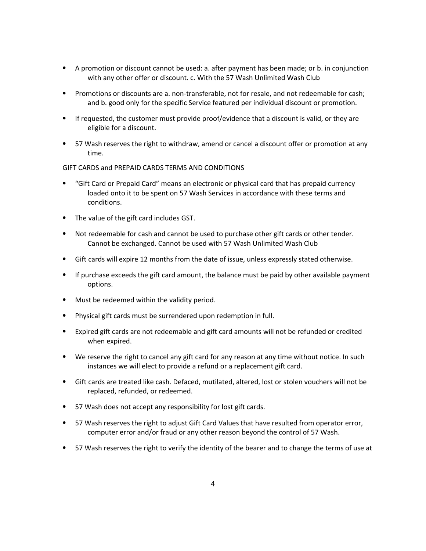- ⦁ A promotion or discount cannot be used: a. after payment has been made; or b. in conjunction with any other offer or discount. c. With the 57 Wash Unlimited Wash Club
- Promotions or discounts are a. non-transferable, not for resale, and not redeemable for cash; and b. good only for the specific Service featured per individual discount or promotion.
- ⦁ If requested, the customer must provide proof/evidence that a discount is valid, or they are eligible for a discount.
- ⦁ 57 Wash reserves the right to withdraw, amend or cancel a discount offer or promotion at any time.

## GIFT CARDS and PREPAID CARDS TERMS AND CONDITIONS

- ⦁ "Gift Card or Prepaid Card" means an electronic or physical card that has prepaid currency loaded onto it to be spent on 57 Wash Services in accordance with these terms and conditions.
- ⦁ The value of the gift card includes GST.
- ⦁ Not redeemable for cash and cannot be used to purchase other gift cards or other tender. Cannot be exchanged. Cannot be used with 57 Wash Unlimited Wash Club
- ⦁ Gift cards will expire 12 months from the date of issue, unless expressly stated otherwise.
- ⦁ If purchase exceeds the gift card amount, the balance must be paid by other available payment options.
- ⦁ Must be redeemed within the validity period.
- ⦁ Physical gift cards must be surrendered upon redemption in full.
- ⦁ Expired gift cards are not redeemable and gift card amounts will not be refunded or credited when expired.
- ⦁ We reserve the right to cancel any gift card for any reason at any time without notice. In such instances we will elect to provide a refund or a replacement gift card.
- ⦁ Gift cards are treated like cash. Defaced, mutilated, altered, lost or stolen vouchers will not be replaced, refunded, or redeemed.
- ⦁ 57 Wash does not accept any responsibility for lost gift cards.
- ⦁ 57 Wash reserves the right to adjust Gift Card Values that have resulted from operator error, computer error and/or fraud or any other reason beyond the control of 57 Wash.
- ⦁ 57 Wash reserves the right to verify the identity of the bearer and to change the terms of use at